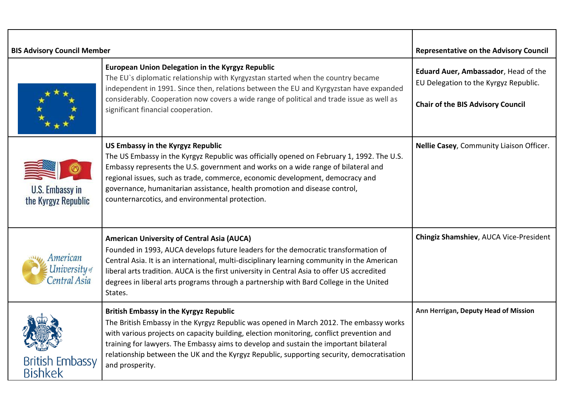| <b>BIS Advisory Council Member</b>               |                                                                                                                                                                                                                                                                                                                                                                                                                                              | <b>Representative on the Advisory Council</b>                                                                             |
|--------------------------------------------------|----------------------------------------------------------------------------------------------------------------------------------------------------------------------------------------------------------------------------------------------------------------------------------------------------------------------------------------------------------------------------------------------------------------------------------------------|---------------------------------------------------------------------------------------------------------------------------|
|                                                  | European Union Delegation in the Kyrgyz Republic<br>The EU's diplomatic relationship with Kyrgyzstan started when the country became<br>independent in 1991. Since then, relations between the EU and Kyrgyzstan have expanded<br>considerably. Cooperation now covers a wide range of political and trade issue as well as<br>significant financial cooperation.                                                                            | Eduard Auer, Ambassador, Head of the<br>EU Delegation to the Kyrgyz Republic.<br><b>Chair of the BIS Advisory Council</b> |
| U.S. Embassy in<br>the Kyrgyz Republic           | US Embassy in the Kyrgyz Republic<br>The US Embassy in the Kyrgyz Republic was officially opened on February 1, 1992. The U.S.<br>Embassy represents the U.S. government and works on a wide range of bilateral and<br>regional issues, such as trade, commerce, economic development, democracy and<br>governance, humanitarian assistance, health promotion and disease control,<br>counternarcotics, and environmental protection.        | Nellie Casey, Community Liaison Officer.                                                                                  |
| American<br><b>University</b> of<br>Central Asia | <b>American University of Central Asia (AUCA)</b><br>Founded in 1993, AUCA develops future leaders for the democratic transformation of<br>Central Asia. It is an international, multi-disciplinary learning community in the American<br>liberal arts tradition. AUCA is the first university in Central Asia to offer US accredited<br>degrees in liberal arts programs through a partnership with Bard College in the United<br>States.   | Chingiz Shamshiev, AUCA Vice-President                                                                                    |
| <b>British Embassy</b><br><b>Bishkek</b>         | <b>British Embassy in the Kyrgyz Republic</b><br>The British Embassy in the Kyrgyz Republic was opened in March 2012. The embassy works<br>with various projects on capacity building, election monitoring, conflict prevention and<br>training for lawyers. The Embassy aims to develop and sustain the important bilateral<br>relationship between the UK and the Kyrgyz Republic, supporting security, democratisation<br>and prosperity. | Ann Herrigan, Deputy Head of Mission                                                                                      |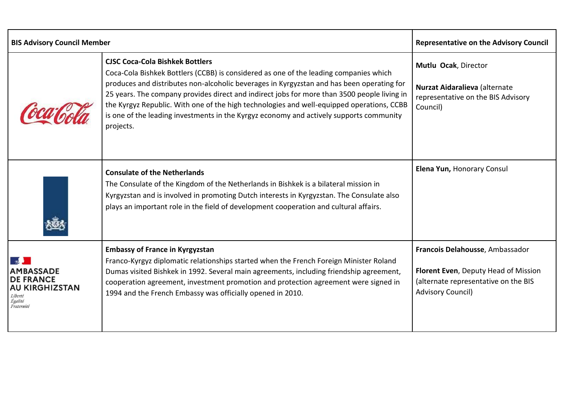| <b>BIS Advisory Council Member</b>                                                                |                                                                                                                                                                                                                                                                                                                                                                                                                                                                                                                                  | <b>Representative on the Advisory Council</b>                                                                                               |
|---------------------------------------------------------------------------------------------------|----------------------------------------------------------------------------------------------------------------------------------------------------------------------------------------------------------------------------------------------------------------------------------------------------------------------------------------------------------------------------------------------------------------------------------------------------------------------------------------------------------------------------------|---------------------------------------------------------------------------------------------------------------------------------------------|
|                                                                                                   | <b>CJSC Coca-Cola Bishkek Bottlers</b><br>Coca-Cola Bishkek Bottlers (CCBB) is considered as one of the leading companies which<br>produces and distributes non-alcoholic beverages in Kyrgyzstan and has been operating for<br>25 years. The company provides direct and indirect jobs for more than 3500 people living in<br>the Kyrgyz Republic. With one of the high technologies and well-equipped operations, CCBB<br>is one of the leading investments in the Kyrgyz economy and actively supports community<br>projects. | Mutlu Ocak, Director<br>Nurzat Aidaralieva (alternate<br>representative on the BIS Advisory<br>Council)                                     |
|                                                                                                   | <b>Consulate of the Netherlands</b><br>The Consulate of the Kingdom of the Netherlands in Bishkek is a bilateral mission in<br>Kyrgyzstan and is involved in promoting Dutch interests in Kyrgyzstan. The Consulate also<br>plays an important role in the field of development cooperation and cultural affairs.                                                                                                                                                                                                                | Elena Yun, Honorary Consul                                                                                                                  |
| <b>AMBASSADE</b><br><b>DE FRANCE</b><br><b>AU KIRGHIZSTAN</b><br>Liberté<br>Égalité<br>Fraternité | <b>Embassy of France in Kyrgyzstan</b><br>Franco-Kyrgyz diplomatic relationships started when the French Foreign Minister Roland<br>Dumas visited Bishkek in 1992. Several main agreements, including friendship agreement,<br>cooperation agreement, investment promotion and protection agreement were signed in<br>1994 and the French Embassy was officially opened in 2010.                                                                                                                                                 | Francois Delahousse, Ambassador<br>Florent Even, Deputy Head of Mission<br>(alternate representative on the BIS<br><b>Advisory Council)</b> |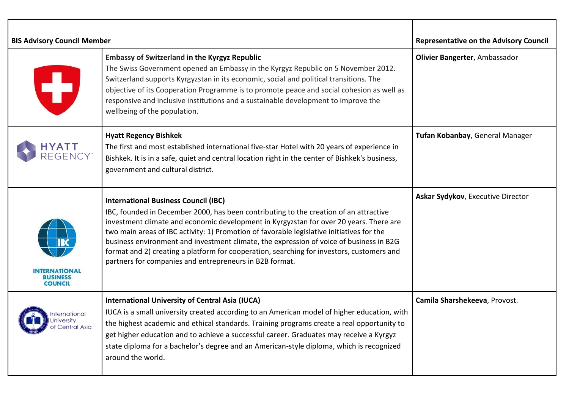| <b>BIS Advisory Council Member</b>                             |                                                                                                                                                                                                                                                                                                                                                                                                                                                                                                                                                                                | <b>Representative on the Advisory Council</b> |
|----------------------------------------------------------------|--------------------------------------------------------------------------------------------------------------------------------------------------------------------------------------------------------------------------------------------------------------------------------------------------------------------------------------------------------------------------------------------------------------------------------------------------------------------------------------------------------------------------------------------------------------------------------|-----------------------------------------------|
| T                                                              | <b>Embassy of Switzerland in the Kyrgyz Republic</b><br>The Swiss Government opened an Embassy in the Kyrgyz Republic on 5 November 2012.<br>Switzerland supports Kyrgyzstan in its economic, social and political transitions. The<br>objective of its Cooperation Programme is to promote peace and social cohesion as well as<br>responsive and inclusive institutions and a sustainable development to improve the<br>wellbeing of the population.                                                                                                                         | Olivier Bangerter, Ambassador                 |
| HYATT<br>Regency"                                              | <b>Hyatt Regency Bishkek</b><br>The first and most established international five-star Hotel with 20 years of experience in<br>Bishkek. It is in a safe, quiet and central location right in the center of Bishkek's business,<br>government and cultural district.                                                                                                                                                                                                                                                                                                            | Tufan Kobanbay, General Manager               |
| <b>INTERNATIONAL</b><br><b>BUSINESS</b><br><b>COUNCIL</b>      | <b>International Business Council (IBC)</b><br>IBC, founded in December 2000, has been contributing to the creation of an attractive<br>investment climate and economic development in Kyrgyzstan for over 20 years. There are<br>two main areas of IBC activity: 1) Promotion of favorable legislative initiatives for the<br>business environment and investment climate, the expression of voice of business in B2G<br>format and 2) creating a platform for cooperation, searching for investors, customers and<br>partners for companies and entrepreneurs in B2B format. | Askar Sydykov, Executive Director             |
| nternational<br>University<br><b><i>sy</i></b> of Central Asia | <b>International University of Central Asia (IUCA)</b><br>IUCA is a small university created according to an American model of higher education, with<br>the highest academic and ethical standards. Training programs create a real opportunity to<br>get higher education and to achieve a successful career. Graduates may receive a Kyrgyz<br>state diploma for a bachelor's degree and an American-style diploma, which is recognized<br>around the world.                                                                                                                | Camila Sharshekeeva, Provost.                 |

┯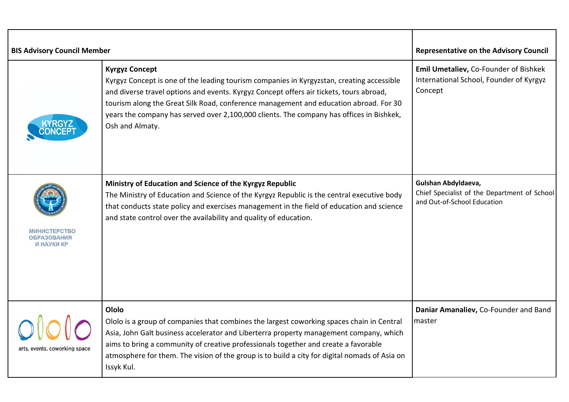| <b>BIS Advisory Council Member</b>               |                                                                                                                                                                                                                                                                                                                                                                                                                       | <b>Representative on the Advisory Council</b>                                                      |
|--------------------------------------------------|-----------------------------------------------------------------------------------------------------------------------------------------------------------------------------------------------------------------------------------------------------------------------------------------------------------------------------------------------------------------------------------------------------------------------|----------------------------------------------------------------------------------------------------|
|                                                  | <b>Kyrgyz Concept</b><br>Kyrgyz Concept is one of the leading tourism companies in Kyrgyzstan, creating accessible<br>and diverse travel options and events. Kyrgyz Concept offers air tickets, tours abroad,<br>tourism along the Great Silk Road, conference management and education abroad. For 30<br>years the company has served over 2,100,000 clients. The company has offices in Bishkek,<br>Osh and Almaty. | Emil Umetaliev, Co-Founder of Bishkek<br>International School, Founder of Kyrgyz<br>Concept        |
| МИНИСТЕРСТВО<br><b>ОБРАЗОВАНИЯ</b><br>И НАУКИ КР | Ministry of Education and Science of the Kyrgyz Republic<br>The Ministry of Education and Science of the Kyrgyz Republic is the central executive body<br>that conducts state policy and exercises management in the field of education and science<br>and state control over the availability and quality of education.                                                                                              | Gulshan Abdyldaeva,<br>Chief Specialist of the Department of School<br>and Out-of-School Education |
| arts, events, coworking space                    | Ololo<br>Ololo is a group of companies that combines the largest coworking spaces chain in Central<br>Asia, John Galt business accelerator and Liberterra property management company, which<br>aims to bring a community of creative professionals together and create a favorable<br>atmosphere for them. The vision of the group is to build a city for digital nomads of Asia on<br>Issyk Kul.                    | Daniar Amanaliev, Co-Founder and Band<br>master                                                    |